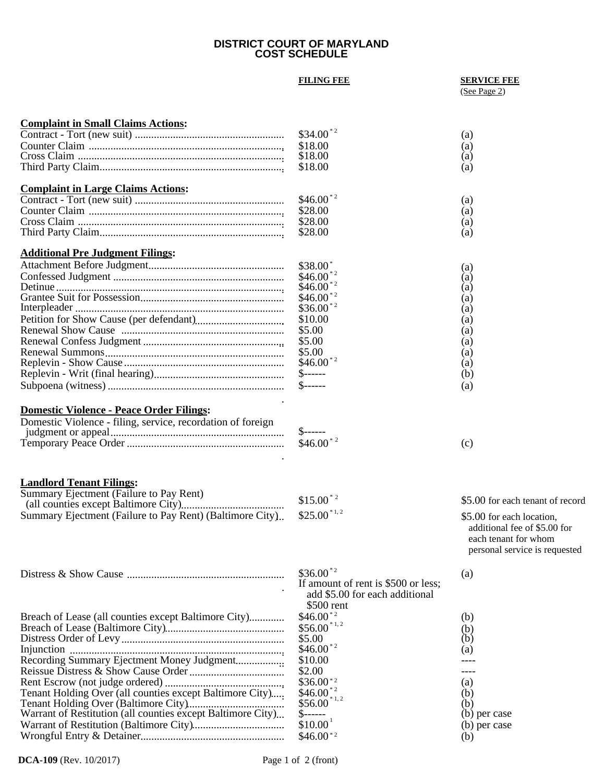### **DISTRICT COURT OF MARYLAND COST SCHEDULE**

# **FILING FEE SERVICE FEE**

# (See Page 2)

(b)

(b) per case

| <b>Complaint in Small Claims Actions:</b>                   |                                     |                                  |
|-------------------------------------------------------------|-------------------------------------|----------------------------------|
|                                                             | $$34.00$ <sup>*2</sup>              | (a)                              |
|                                                             | \$18.00                             | (a)                              |
|                                                             | \$18.00                             | (a)                              |
|                                                             | \$18.00                             | (a)                              |
|                                                             |                                     |                                  |
| <b>Complaint in Large Claims Actions:</b>                   |                                     |                                  |
|                                                             | $$46.00^{\ast}$ <sup>2</sup>        | (a)                              |
|                                                             | \$28.00                             | (a)                              |
|                                                             | \$28.00                             | (a)                              |
|                                                             | \$28.00                             | (a)                              |
|                                                             |                                     |                                  |
| <b>Additional Pre Judgment Filings:</b>                     |                                     |                                  |
|                                                             | $$38.00*$                           | (a)                              |
|                                                             | $$46.00^{\degree}$                  | (a)                              |
|                                                             | $$46.00^{\degree}$                  | (a)                              |
|                                                             | $$46.00*2$                          | (a)                              |
|                                                             | $$36.00^{\ast}$ <sup>2</sup>        | (a)                              |
|                                                             | \$10.00                             | (a)                              |
|                                                             | \$5.00                              | (a)                              |
|                                                             | \$5.00                              | (a)                              |
|                                                             | \$5.00                              | (a)                              |
|                                                             | $$46.00*2$                          | (a)                              |
|                                                             | $S$ ------                          | (b)                              |
|                                                             | $S$ ------                          | (a)                              |
|                                                             |                                     |                                  |
| <b>Domestic Violence - Peace Order Filings:</b>             |                                     |                                  |
|                                                             |                                     |                                  |
| Domestic Violence - filing, service, recordation of foreign |                                     |                                  |
|                                                             | $$46.00$ <sup>*2</sup>              |                                  |
|                                                             |                                     | (c)                              |
|                                                             |                                     |                                  |
|                                                             |                                     |                                  |
| <b>Landlord Tenant Filings:</b>                             |                                     |                                  |
| Summary Ejectment (Failure to Pay Rent)                     | $$15.00$ <sup>*2</sup>              | \$5.00 for each tenant of record |
|                                                             |                                     |                                  |
| Summary Ejectment (Failure to Pay Rent) (Baltimore City)    | $$25.00$ <sup>*1,2</sup>            | \$5.00 for each location,        |
|                                                             |                                     | additional fee of \$5.00 for     |
|                                                             |                                     | each tenant for whom             |
|                                                             |                                     | personal service is requested    |
|                                                             |                                     |                                  |
|                                                             | $$36.00^{\degree}$                  | (a)                              |
|                                                             | If amount of rent is \$500 or less; |                                  |
|                                                             | add \$5.00 for each additional      |                                  |
|                                                             | \$500 rent                          |                                  |
|                                                             | $$46.00*2$                          |                                  |
| Breach of Lease (all counties except Baltimore City)        |                                     | (b)                              |
|                                                             | $$56.00$ <sup>*1,2</sup>            | (b)                              |
|                                                             | \$5.00                              | (b)                              |
|                                                             | $$46.00^{\ast}$ <sup>2</sup>        | (a)                              |
| Recording Summary Ejectment Money Judgment                  | \$10.00                             |                                  |
|                                                             | \$2.00                              |                                  |
|                                                             | $$36.00*2$                          | (a)                              |
| Tenant Holding Over (all counties except Baltimore City)    | $$46.00^{*2}_{*}$                   | (b)                              |
|                                                             | $$56.00^{*1,2}$                     | (b)                              |
| Warrant of Restitution (all counties except Baltimore City) | $$$ ------                          | (b) per case                     |
|                                                             |                                     |                                  |

Wrongful Entry & Detainer ..................................................... \$46.00

Warrant of Restitution (Baltimore City).................................. \$10.00 \* 2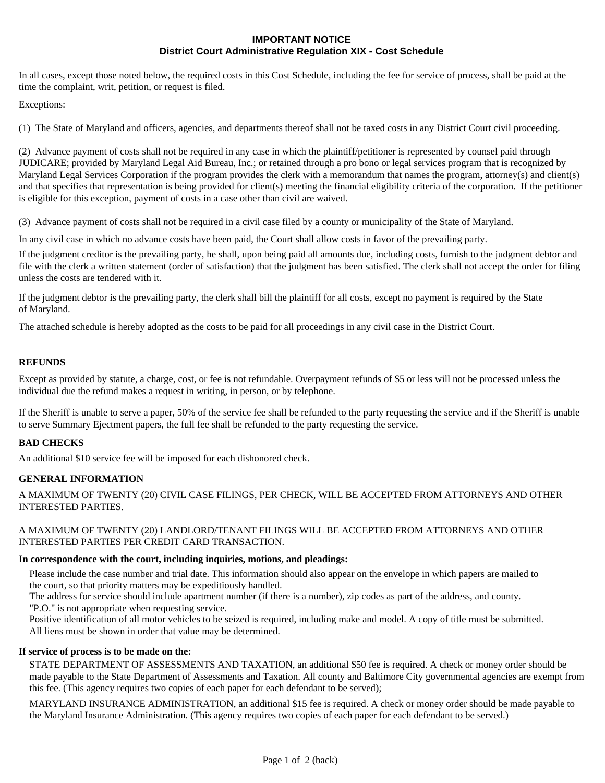# **IMPORTANT NOTICE District Court Administrative Regulation XIX - Cost Schedule**

In all cases, except those noted below, the required costs in this Cost Schedule, including the fee for service of process, shall be paid at the time the complaint, writ, petition, or request is filed.

Exceptions:

(1) The State of Maryland and officers, agencies, and departments thereof shall not be taxed costs in any District Court civil proceeding.

(2) Advance payment of costs shall not be required in any case in which the plaintiff/petitioner is represented by counsel paid through JUDICARE; provided by Maryland Legal Aid Bureau, Inc.; or retained through a pro bono or legal services program that is recognized by Maryland Legal Services Corporation if the program provides the clerk with a memorandum that names the program, attorney(s) and client(s) and that specifies that representation is being provided for client(s) meeting the financial eligibility criteria of the corporation. If the petitioner is eligible for this exception, payment of costs in a case other than civil are waived.

(3) Advance payment of costs shall not be required in a civil case filed by a county or municipality of the State of Maryland.

In any civil case in which no advance costs have been paid, the Court shall allow costs in favor of the prevailing party.

If the judgment creditor is the prevailing party, he shall, upon being paid all amounts due, including costs, furnish to the judgment debtor and file with the clerk a written statement (order of satisfaction) that the judgment has been satisfied. The clerk shall not accept the order for filing unless the costs are tendered with it.

If the judgment debtor is the prevailing party, the clerk shall bill the plaintiff for all costs, except no payment is required by the State of Maryland.

The attached schedule is hereby adopted as the costs to be paid for all proceedings in any civil case in the District Court.

### **REFUNDS**

Except as provided by statute, a charge, cost, or fee is not refundable. Overpayment refunds of \$5 or less will not be processed unless the individual due the refund makes a request in writing, in person, or by telephone.

If the Sheriff is unable to serve a paper, 50% of the service fee shall be refunded to the party requesting the service and if the Sheriff is unable to serve Summary Ejectment papers, the full fee shall be refunded to the party requesting the service.

#### **BAD CHECKS**

An additional \$10 service fee will be imposed for each dishonored check.

# **GENERAL INFORMATION**

A MAXIMUM OF TWENTY (20) CIVIL CASE FILINGS, PER CHECK, WILL BE ACCEPTED FROM ATTORNEYS AND OTHER INTERESTED PARTIES.

#### A MAXIMUM OF TWENTY (20) LANDLORD/TENANT FILINGS WILL BE ACCEPTED FROM ATTORNEYS AND OTHER INTERESTED PARTIES PER CREDIT CARD TRANSACTION.

#### **In correspondence with the court, including inquiries, motions, and pleadings:**

Please include the case number and trial date. This information should also appear on the envelope in which papers are mailed to the court, so that priority matters may be expeditiously handled.

The address for service should include apartment number (if there is a number), zip codes as part of the address, and county. "P.O." is not appropriate when requesting service.

Positive identification of all motor vehicles to be seized is required, including make and model. A copy of title must be submitted. All liens must be shown in order that value may be determined.

#### **If service of process is to be made on the:**

STATE DEPARTMENT OF ASSESSMENTS AND TAXATION, an additional \$50 fee is required. A check or money order should be made payable to the State Department of Assessments and Taxation. All county and Baltimore City governmental agencies are exempt from this fee. (This agency requires two copies of each paper for each defendant to be served);

MARYLAND INSURANCE ADMINISTRATION, an additional \$15 fee is required. A check or money order should be made payable to the Maryland Insurance Administration. (This agency requires two copies of each paper for each defendant to be served.)